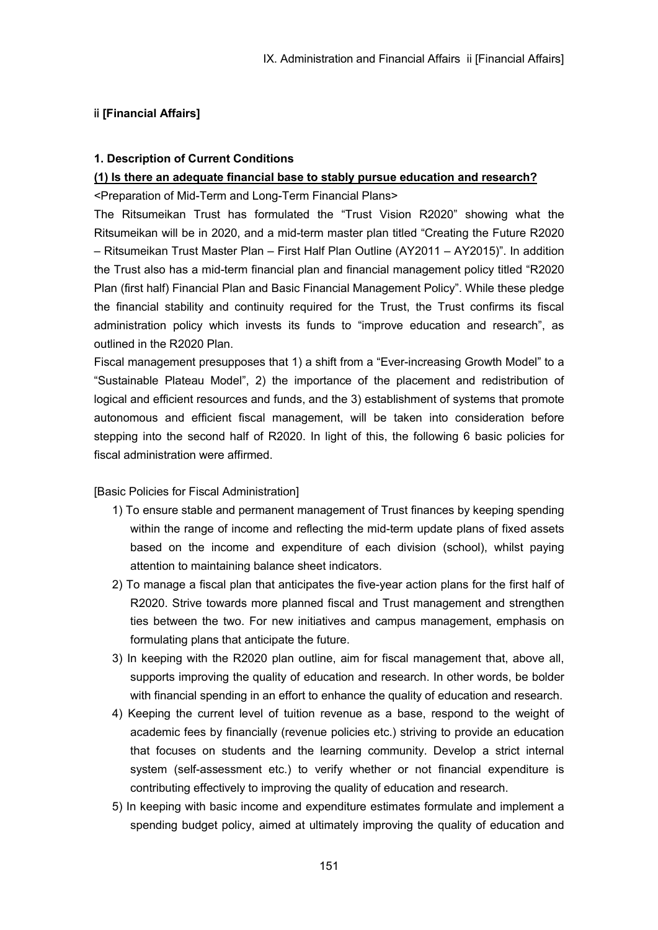# ⅱ **[Financial Affairs]**

## **1. Description of Current Conditions**

## **(1) Is there an adequate financial base to stably pursue education and research?**

<Preparation of Mid-Term and Long-Term Financial Plans>

The Ritsumeikan Trust has formulated the "Trust Vision R2020" showing what the Ritsumeikan will be in 2020, and a mid-term master plan titled "Creating the Future R2020 – Ritsumeikan Trust Master Plan – First Half Plan Outline (AY2011 – AY2015)". In addition the Trust also has a mid-term financial plan and financial management policy titled "R2020 Plan (first half) Financial Plan and Basic Financial Management Policy". While these pledge the financial stability and continuity required for the Trust, the Trust confirms its fiscal administration policy which invests its funds to "improve education and research", as outlined in the R2020 Plan.

Fiscal management presupposes that 1) a shift from a "Ever-increasing Growth Model" to a "Sustainable Plateau Model", 2) the importance of the placement and redistribution of logical and efficient resources and funds, and the 3) establishment of systems that promote autonomous and efficient fiscal management, will be taken into consideration before stepping into the second half of R2020. In light of this, the following 6 basic policies for fiscal administration were affirmed.

### [Basic Policies for Fiscal Administration]

- 1) To ensure stable and permanent management of Trust finances by keeping spending within the range of income and reflecting the mid-term update plans of fixed assets based on the income and expenditure of each division (school), whilst paying attention to maintaining balance sheet indicators.
- 2) To manage a fiscal plan that anticipates the five-year action plans for the first half of R2020. Strive towards more planned fiscal and Trust management and strengthen ties between the two. For new initiatives and campus management, emphasis on formulating plans that anticipate the future.
- 3) In keeping with the R2020 plan outline, aim for fiscal management that, above all, supports improving the quality of education and research. In other words, be bolder with financial spending in an effort to enhance the quality of education and research.
- 4) Keeping the current level of tuition revenue as a base, respond to the weight of academic fees by financially (revenue policies etc.) striving to provide an education that focuses on students and the learning community. Develop a strict internal system (self-assessment etc.) to verify whether or not financial expenditure is contributing effectively to improving the quality of education and research.
- 5) In keeping with basic income and expenditure estimates formulate and implement a spending budget policy, aimed at ultimately improving the quality of education and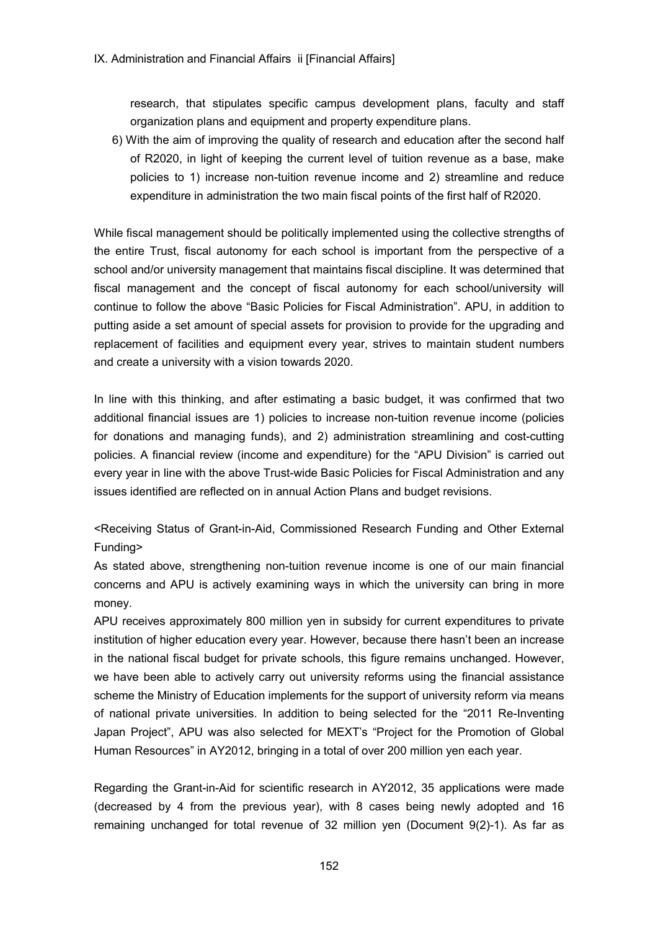research, that stipulates specific campus development plans, faculty and staff organization plans and equipment and property expenditure plans.

6) With the aim of improving the quality of research and education after the second half of R2020, in light of keeping the current level of tuition revenue as a base, make policies to 1) increase non-tuition revenue income and 2) streamline and reduce expenditure in administration the two main fiscal points of the first half of R2020.

While fiscal management should be politically implemented using the collective strengths of the entire Trust, fiscal autonomy for each school is important from the perspective of a school and/or university management that maintains fiscal discipline. It was determined that fiscal management and the concept of fiscal autonomy for each school/university will continue to follow the above "Basic Policies for Fiscal Administration". APU, in addition to putting aside a set amount of special assets for provision to provide for the upgrading and replacement of facilities and equipment every year, strives to maintain student numbers and create a university with a vision towards 2020.

In line with this thinking, and after estimating a basic budget, it was confirmed that two additional financial issues are 1) policies to increase non-tuition revenue income (policies for donations and managing funds), and 2) administration streamlining and cost-cutting policies. A financial review (income and expenditure) for the "APU Division" is carried out every year in line with the above Trust-wide Basic Policies for Fiscal Administration and any issues identified are reflected on in annual Action Plans and budget revisions.

<Receiving Status of Grant-in-Aid, Commissioned Research Funding and Other External Funding>

As stated above, strengthening non-tuition revenue income is one of our main financial concerns and APU is actively examining ways in which the university can bring in more money.

APU receives approximately 800 million yen in subsidy for current expenditures to private institution of higher education every year. However, because there hasn't been an increase in the national fiscal budget for private schools, this figure remains unchanged. However, we have been able to actively carry out university reforms using the financial assistance scheme the Ministry of Education implements for the support of university reform via means of national private universities. In addition to being selected for the "2011 Re-Inventing Japan Project", APU was also selected for MEXT's "Project for the Promotion of Global Human Resources" in AY2012, bringing in a total of over 200 million yen each year.

Regarding the Grant-in-Aid for scientific research in AY2012, 35 applications were made (decreased by 4 from the previous year), with 8 cases being newly adopted and 16 remaining unchanged for total revenue of 32 million yen (Document 9(2)-1). As far as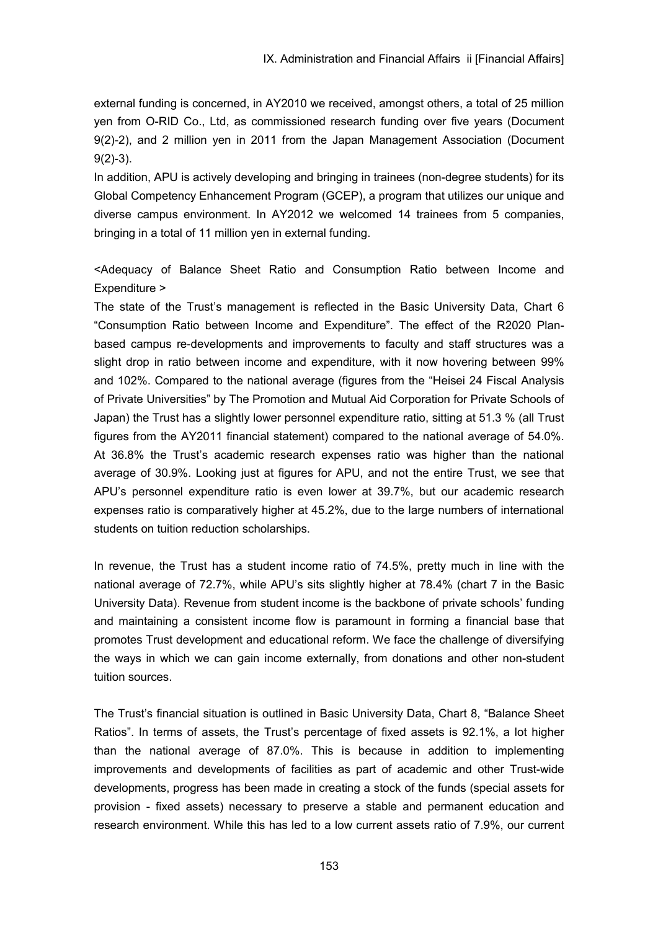external funding is concerned, in AY2010 we received, amongst others, a total of 25 million yen from O-RID Co., Ltd, as commissioned research funding over five years (Document 9(2)-2), and 2 million yen in 2011 from the Japan Management Association (Document 9(2)-3).

In addition, APU is actively developing and bringing in trainees (non-degree students) for its Global Competency Enhancement Program (GCEP), a program that utilizes our unique and diverse campus environment. In AY2012 we welcomed 14 trainees from 5 companies, bringing in a total of 11 million yen in external funding.

<Adequacy of Balance Sheet Ratio and Consumption Ratio between Income and Expenditure >

The state of the Trust's management is reflected in the Basic University Data, Chart 6 "Consumption Ratio between Income and Expenditure". The effect of the R2020 Planbased campus re-developments and improvements to faculty and staff structures was a slight drop in ratio between income and expenditure, with it now hovering between 99% and 102%. Compared to the national average (figures from the "Heisei 24 Fiscal Analysis of Private Universities" by The Promotion and Mutual Aid Corporation for Private Schools of Japan) the Trust has a slightly lower personnel expenditure ratio, sitting at 51.3 % (all Trust figures from the AY2011 financial statement) compared to the national average of 54.0%. At 36.8% the Trust's academic research expenses ratio was higher than the national average of 30.9%. Looking just at figures for APU, and not the entire Trust, we see that APU's personnel expenditure ratio is even lower at 39.7%, but our academic research expenses ratio is comparatively higher at 45.2%, due to the large numbers of international students on tuition reduction scholarships.

In revenue, the Trust has a student income ratio of 74.5%, pretty much in line with the national average of 72.7%, while APU's sits slightly higher at 78.4% (chart 7 in the Basic University Data). Revenue from student income is the backbone of private schools' funding and maintaining a consistent income flow is paramount in forming a financial base that promotes Trust development and educational reform. We face the challenge of diversifying the ways in which we can gain income externally, from donations and other non-student tuition sources.

The Trust's financial situation is outlined in Basic University Data, Chart 8, "Balance Sheet Ratios". In terms of assets, the Trust's percentage of fixed assets is 92.1%, a lot higher than the national average of 87.0%. This is because in addition to implementing improvements and developments of facilities as part of academic and other Trust-wide developments, progress has been made in creating a stock of the funds (special assets for provision - fixed assets) necessary to preserve a stable and permanent education and research environment. While this has led to a low current assets ratio of 7.9%, our current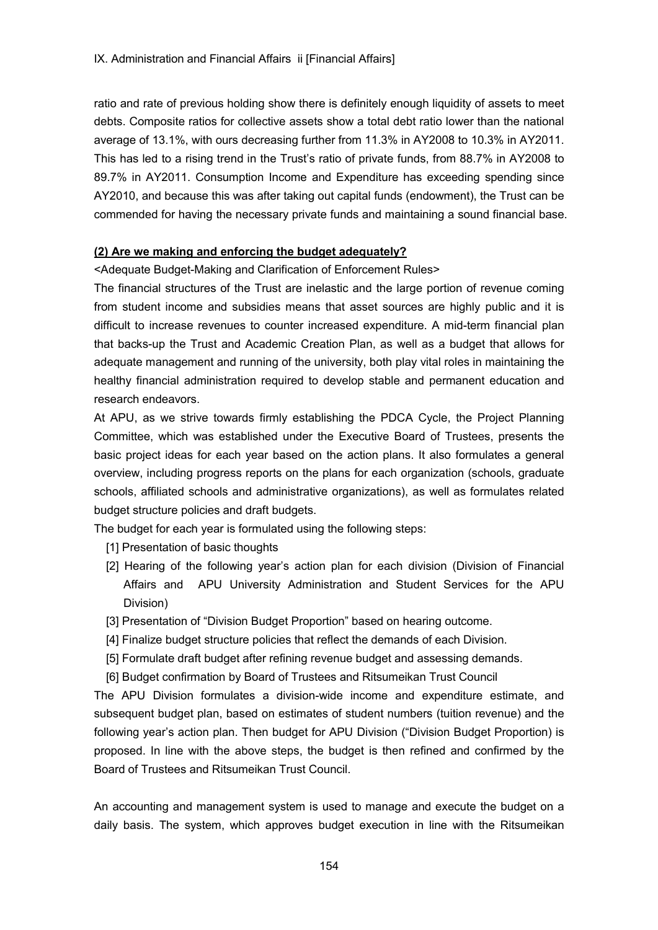ratio and rate of previous holding show there is definitely enough liquidity of assets to meet debts. Composite ratios for collective assets show a total debt ratio lower than the national average of 13.1%, with ours decreasing further from 11.3% in AY2008 to 10.3% in AY2011. This has led to a rising trend in the Trust's ratio of private funds, from 88.7% in AY2008 to 89.7% in AY2011. Consumption Income and Expenditure has exceeding spending since AY2010, and because this was after taking out capital funds (endowment), the Trust can be commended for having the necessary private funds and maintaining a sound financial base.

## **(2) Are we making and enforcing the budget adequately?**

<Adequate Budget-Making and Clarification of Enforcement Rules>

The financial structures of the Trust are inelastic and the large portion of revenue coming from student income and subsidies means that asset sources are highly public and it is difficult to increase revenues to counter increased expenditure. A mid-term financial plan that backs-up the Trust and Academic Creation Plan, as well as a budget that allows for adequate management and running of the university, both play vital roles in maintaining the healthy financial administration required to develop stable and permanent education and research endeavors.

At APU, as we strive towards firmly establishing the PDCA Cycle, the Project Planning Committee, which was established under the Executive Board of Trustees, presents the basic project ideas for each year based on the action plans. It also formulates a general overview, including progress reports on the plans for each organization (schools, graduate schools, affiliated schools and administrative organizations), as well as formulates related budget structure policies and draft budgets.

The budget for each year is formulated using the following steps:

- [1] Presentation of basic thoughts
- [2] Hearing of the following year's action plan for each division (Division of Financial Affairs and APU University Administration and Student Services for the APU Division)
- [3] Presentation of "Division Budget Proportion" based on hearing outcome.
- [4] Finalize budget structure policies that reflect the demands of each Division.
- [5] Formulate draft budget after refining revenue budget and assessing demands.
- [6] Budget confirmation by Board of Trustees and Ritsumeikan Trust Council

The APU Division formulates a division-wide income and expenditure estimate, and subsequent budget plan, based on estimates of student numbers (tuition revenue) and the following year's action plan. Then budget for APU Division ("Division Budget Proportion) is proposed. In line with the above steps, the budget is then refined and confirmed by the Board of Trustees and Ritsumeikan Trust Council.

An accounting and management system is used to manage and execute the budget on a daily basis. The system, which approves budget execution in line with the Ritsumeikan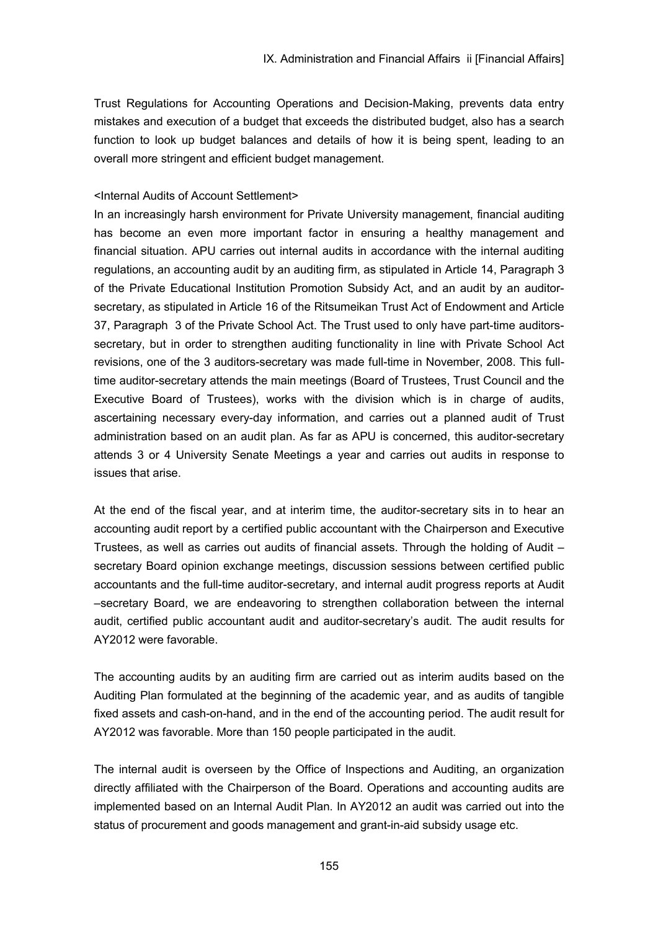Trust Regulations for Accounting Operations and Decision-Making, prevents data entry mistakes and execution of a budget that exceeds the distributed budget, also has a search function to look up budget balances and details of how it is being spent, leading to an overall more stringent and efficient budget management.

# <Internal Audits of Account Settlement>

In an increasingly harsh environment for Private University management, financial auditing has become an even more important factor in ensuring a healthy management and financial situation. APU carries out internal audits in accordance with the internal auditing regulations, an accounting audit by an auditing firm, as stipulated in Article 14, Paragraph 3 of the Private Educational Institution Promotion Subsidy Act, and an audit by an auditorsecretary, as stipulated in Article 16 of the Ritsumeikan Trust Act of Endowment and Article 37, Paragraph 3 of the Private School Act. The Trust used to only have part-time auditorssecretary, but in order to strengthen auditing functionality in line with Private School Act revisions, one of the 3 auditors-secretary was made full-time in November, 2008. This fulltime auditor-secretary attends the main meetings (Board of Trustees, Trust Council and the Executive Board of Trustees), works with the division which is in charge of audits, ascertaining necessary every-day information, and carries out a planned audit of Trust administration based on an audit plan. As far as APU is concerned, this auditor-secretary attends 3 or 4 University Senate Meetings a year and carries out audits in response to issues that arise.

At the end of the fiscal year, and at interim time, the auditor-secretary sits in to hear an accounting audit report by a certified public accountant with the Chairperson and Executive Trustees, as well as carries out audits of financial assets. Through the holding of Audit – secretary Board opinion exchange meetings, discussion sessions between certified public accountants and the full-time auditor-secretary, and internal audit progress reports at Audit –secretary Board, we are endeavoring to strengthen collaboration between the internal audit, certified public accountant audit and auditor-secretary's audit. The audit results for AY2012 were favorable.

The accounting audits by an auditing firm are carried out as interim audits based on the Auditing Plan formulated at the beginning of the academic year, and as audits of tangible fixed assets and cash-on-hand, and in the end of the accounting period. The audit result for AY2012 was favorable. More than 150 people participated in the audit.

The internal audit is overseen by the Office of Inspections and Auditing, an organization directly affiliated with the Chairperson of the Board. Operations and accounting audits are implemented based on an Internal Audit Plan. In AY2012 an audit was carried out into the status of procurement and goods management and grant-in-aid subsidy usage etc.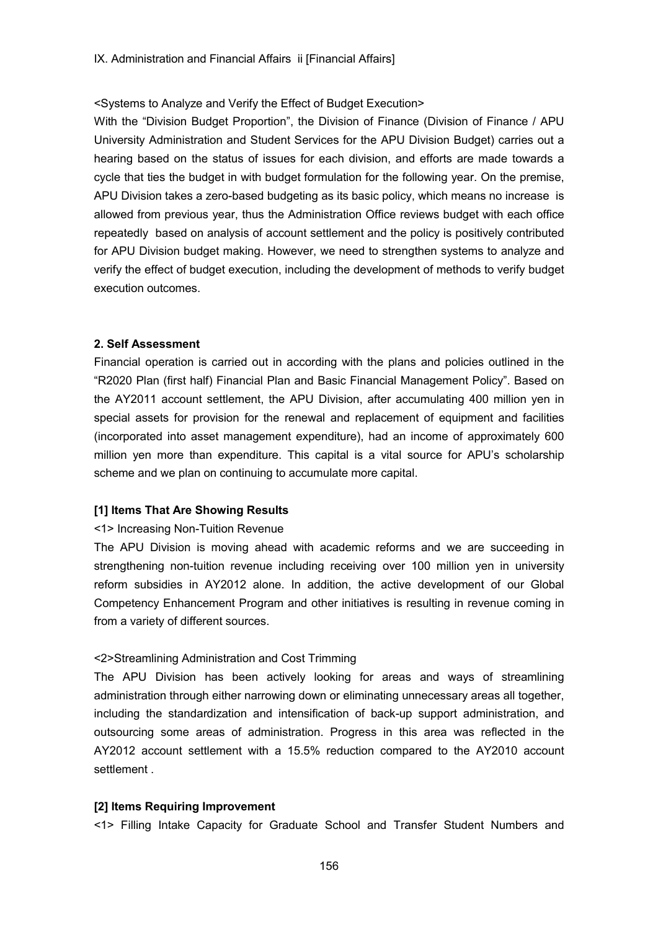### <Systems to Analyze and Verify the Effect of Budget Execution>

With the "Division Budget Proportion", the Division of Finance (Division of Finance / APU University Administration and Student Services for the APU Division Budget) carries out a hearing based on the status of issues for each division, and efforts are made towards a cycle that ties the budget in with budget formulation for the following year. On the premise, APU Division takes a zero-based budgeting as its basic policy, which means no increase is allowed from previous year, thus the Administration Office reviews budget with each office repeatedly based on analysis of account settlement and the policy is positively contributed for APU Division budget making. However, we need to strengthen systems to analyze and verify the effect of budget execution, including the development of methods to verify budget execution outcomes.

#### **2. Self Assessment**

Financial operation is carried out in according with the plans and policies outlined in the "R2020 Plan (first half) Financial Plan and Basic Financial Management Policy". Based on the AY2011 account settlement, the APU Division, after accumulating 400 million yen in special assets for provision for the renewal and replacement of equipment and facilities (incorporated into asset management expenditure), had an income of approximately 600 million yen more than expenditure. This capital is a vital source for APU's scholarship scheme and we plan on continuing to accumulate more capital.

### **[1] Items That Are Showing Results**

#### <1> Increasing Non-Tuition Revenue

The APU Division is moving ahead with academic reforms and we are succeeding in strengthening non-tuition revenue including receiving over 100 million yen in university reform subsidies in AY2012 alone. In addition, the active development of our Global Competency Enhancement Program and other initiatives is resulting in revenue coming in from a variety of different sources.

### <2>Streamlining Administration and Cost Trimming

The APU Division has been actively looking for areas and ways of streamlining administration through either narrowing down or eliminating unnecessary areas all together, including the standardization and intensification of back-up support administration, and outsourcing some areas of administration. Progress in this area was reflected in the AY2012 account settlement with a 15.5% reduction compared to the AY2010 account settlement

#### **[2] Items Requiring Improvement**

<1> Filling Intake Capacity for Graduate School and Transfer Student Numbers and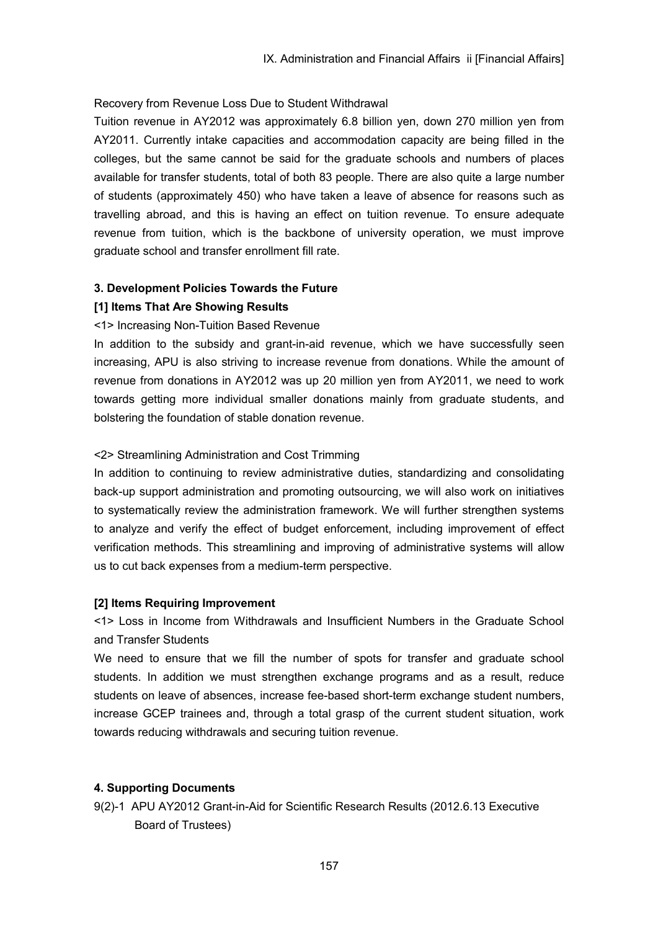## Recovery from Revenue Loss Due to Student Withdrawal

Tuition revenue in AY2012 was approximately 6.8 billion yen, down 270 million yen from AY2011. Currently intake capacities and accommodation capacity are being filled in the colleges, but the same cannot be said for the graduate schools and numbers of places available for transfer students, total of both 83 people. There are also quite a large number of students (approximately 450) who have taken a leave of absence for reasons such as travelling abroad, and this is having an effect on tuition revenue. To ensure adequate revenue from tuition, which is the backbone of university operation, we must improve graduate school and transfer enrollment fill rate.

## **3. Development Policies Towards the Future**

## **[1] Items That Are Showing Results**

### <1> Increasing Non-Tuition Based Revenue

In addition to the subsidy and grant-in-aid revenue, which we have successfully seen increasing, APU is also striving to increase revenue from donations. While the amount of revenue from donations in AY2012 was up 20 million yen from AY2011, we need to work towards getting more individual smaller donations mainly from graduate students, and bolstering the foundation of stable donation revenue.

## <2> Streamlining Administration and Cost Trimming

In addition to continuing to review administrative duties, standardizing and consolidating back-up support administration and promoting outsourcing, we will also work on initiatives to systematically review the administration framework. We will further strengthen systems to analyze and verify the effect of budget enforcement, including improvement of effect verification methods. This streamlining and improving of administrative systems will allow us to cut back expenses from a medium-term perspective.

### **[2] Items Requiring Improvement**

<1> Loss in Income from Withdrawals and Insufficient Numbers in the Graduate School and Transfer Students

We need to ensure that we fill the number of spots for transfer and graduate school students. In addition we must strengthen exchange programs and as a result, reduce students on leave of absences, increase fee-based short-term exchange student numbers, increase GCEP trainees and, through a total grasp of the current student situation, work towards reducing withdrawals and securing tuition revenue.

# **4. Supporting Documents**

9(2)-1 APU AY2012 Grant-in-Aid for Scientific Research Results (2012.6.13 Executive Board of Trustees)